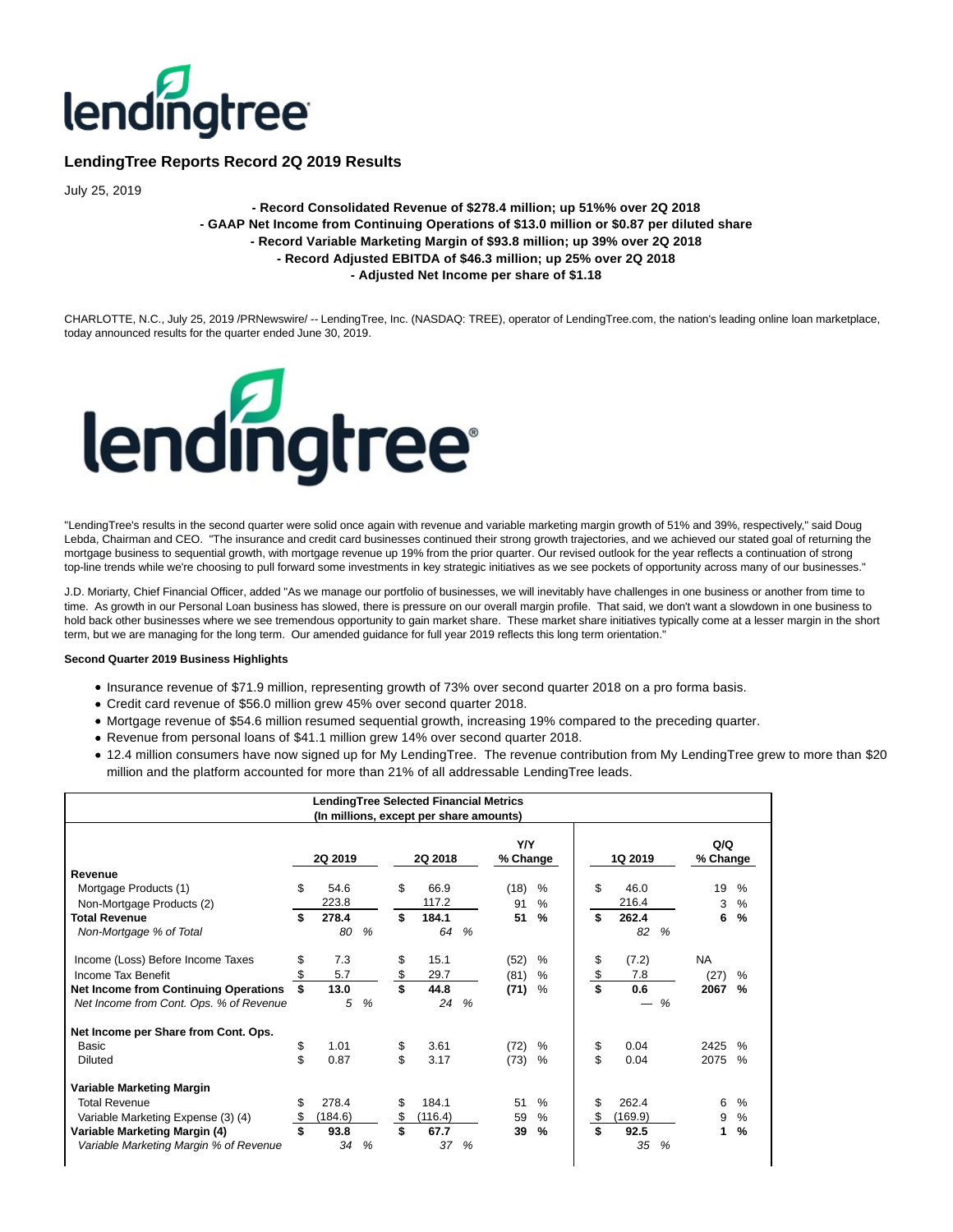

# **LendingTree Reports Record 2Q 2019 Results**

July 25, 2019

# **- Record Consolidated Revenue of \$278.4 million; up 51%% over 2Q 2018 - GAAP Net Income from Continuing Operations of \$13.0 million or \$0.87 per diluted share - Record Variable Marketing Margin of \$93.8 million; up 39% over 2Q 2018 - Record Adjusted EBITDA of \$46.3 million; up 25% over 2Q 2018 - Adjusted Net Income per share of \$1.18**

CHARLOTTE, N.C., July 25, 2019 /PRNewswire/ -- LendingTree, Inc. (NASDAQ: TREE), operator of LendingTree.com, the nation's leading online loan marketplace, today announced results for the quarter ended June 30, 2019.



"LendingTree's results in the second quarter were solid once again with revenue and variable marketing margin growth of 51% and 39%, respectively," said Doug Lebda, Chairman and CEO. "The insurance and credit card businesses continued their strong growth trajectories, and we achieved our stated goal of returning the mortgage business to sequential growth, with mortgage revenue up 19% from the prior quarter. Our revised outlook for the year reflects a continuation of strong top-line trends while we're choosing to pull forward some investments in key strategic initiatives as we see pockets of opportunity across many of our businesses."

J.D. Moriarty, Chief Financial Officer, added "As we manage our portfolio of businesses, we will inevitably have challenges in one business or another from time to time. As growth in our Personal Loan business has slowed, there is pressure on our overall margin profile. That said, we don't want a slowdown in one business to hold back other businesses where we see tremendous opportunity to gain market share. These market share initiatives typically come at a lesser margin in the short term, but we are managing for the long term. Our amended guidance for full year 2019 reflects this long term orientation."

# **Second Quarter 2019 Business Highlights**

 $\mathsf{l}$ 

- Insurance revenue of \$71.9 million, representing growth of 73% over second quarter 2018 on a pro forma basis.
- Credit card revenue of \$56.0 million grew 45% over second quarter 2018.
- Mortgage revenue of \$54.6 million resumed sequential growth, increasing 19% compared to the preceding quarter.
- Revenue from personal loans of \$41.1 million grew 14% over second quarter 2018.
- 12.4 million consumers have now signed up for My LendingTree. The revenue contribution from My LendingTree grew to more than \$20 million and the platform accounted for more than 21% of all addressable LendingTree leads.

|                                              |               |               | <b>LendingTree Selected Financial Metrics</b><br>(In millions, except per share amounts) |               |                 |               |               |               |                 |               |
|----------------------------------------------|---------------|---------------|------------------------------------------------------------------------------------------|---------------|-----------------|---------------|---------------|---------------|-----------------|---------------|
|                                              | 2Q 2019       |               | 2Q 2018                                                                                  |               | Y/Y<br>% Change |               | 1Q 2019       |               | Q/Q<br>% Change |               |
| Revenue                                      |               |               |                                                                                          |               |                 |               |               |               |                 |               |
| Mortgage Products (1)                        | \$<br>54.6    |               | \$<br>66.9                                                                               |               | (18)            | %             | \$<br>46.0    |               | 19              | $\%$          |
| Non-Mortgage Products (2)                    | 223.8         |               | 117.2                                                                                    |               | 91              | $\%$          | 216.4         |               | 3               | $\frac{0}{0}$ |
| <b>Total Revenue</b>                         | \$<br>278.4   |               | \$<br>184.1                                                                              |               | 51              | $\%$          | \$<br>262.4   |               | 6               | %             |
| Non-Mortgage % of Total                      | 80            | $\frac{9}{6}$ | 64                                                                                       | $\frac{9}{6}$ |                 |               | 82            | $\frac{9}{6}$ |                 |               |
| Income (Loss) Before Income Taxes            | \$<br>7.3     |               | \$<br>15.1                                                                               |               | (52)            | %             | \$<br>(7.2)   |               | <b>NA</b>       |               |
| Income Tax Benefit                           | \$<br>5.7     |               | \$<br>29.7                                                                               |               | (81)            | $\frac{0}{0}$ | \$<br>7.8     |               | (27)            | %             |
| <b>Net Income from Continuing Operations</b> | 13.0          |               | 44.8                                                                                     |               | (71)            | $\%$          | \$<br>0.6     |               | 2067            | $\frac{9}{6}$ |
| Net Income from Cont. Ops. % of Revenue      | 5             | %             | 24                                                                                       | %             |                 |               |               | %             |                 |               |
| Net Income per Share from Cont. Ops.         |               |               |                                                                                          |               |                 |               |               |               |                 |               |
| Basic                                        | \$<br>1.01    |               | 3.61                                                                                     |               | (72)            | %             | \$<br>0.04    |               | 2425            | $\frac{0}{6}$ |
| <b>Diluted</b>                               | \$<br>0.87    |               | \$<br>3.17                                                                               |               | (73)            | %             | \$<br>0.04    |               | 2075            | $\%$          |
| Variable Marketing Margin                    |               |               |                                                                                          |               |                 |               |               |               |                 |               |
| <b>Total Revenue</b>                         | \$<br>278.4   |               | \$<br>184.1                                                                              |               | 51              | $\%$          | \$<br>262.4   |               | 6               | $\%$          |
| Variable Marketing Expense (3) (4)           | \$<br>(184.6) |               | \$<br>(116.4)                                                                            |               | 59              | $\frac{0}{0}$ | \$<br>(169.9) |               | 9               | $\frac{0}{0}$ |
| Variable Marketing Margin (4)                | \$<br>93.8    |               | \$<br>67.7                                                                               |               | 39              | $\frac{9}{6}$ | \$<br>92.5    |               | 1               | $\frac{9}{6}$ |
| Variable Marketing Margin % of Revenue       | 34            | $\frac{9}{6}$ | 37                                                                                       | %             |                 |               | 35            | %             |                 |               |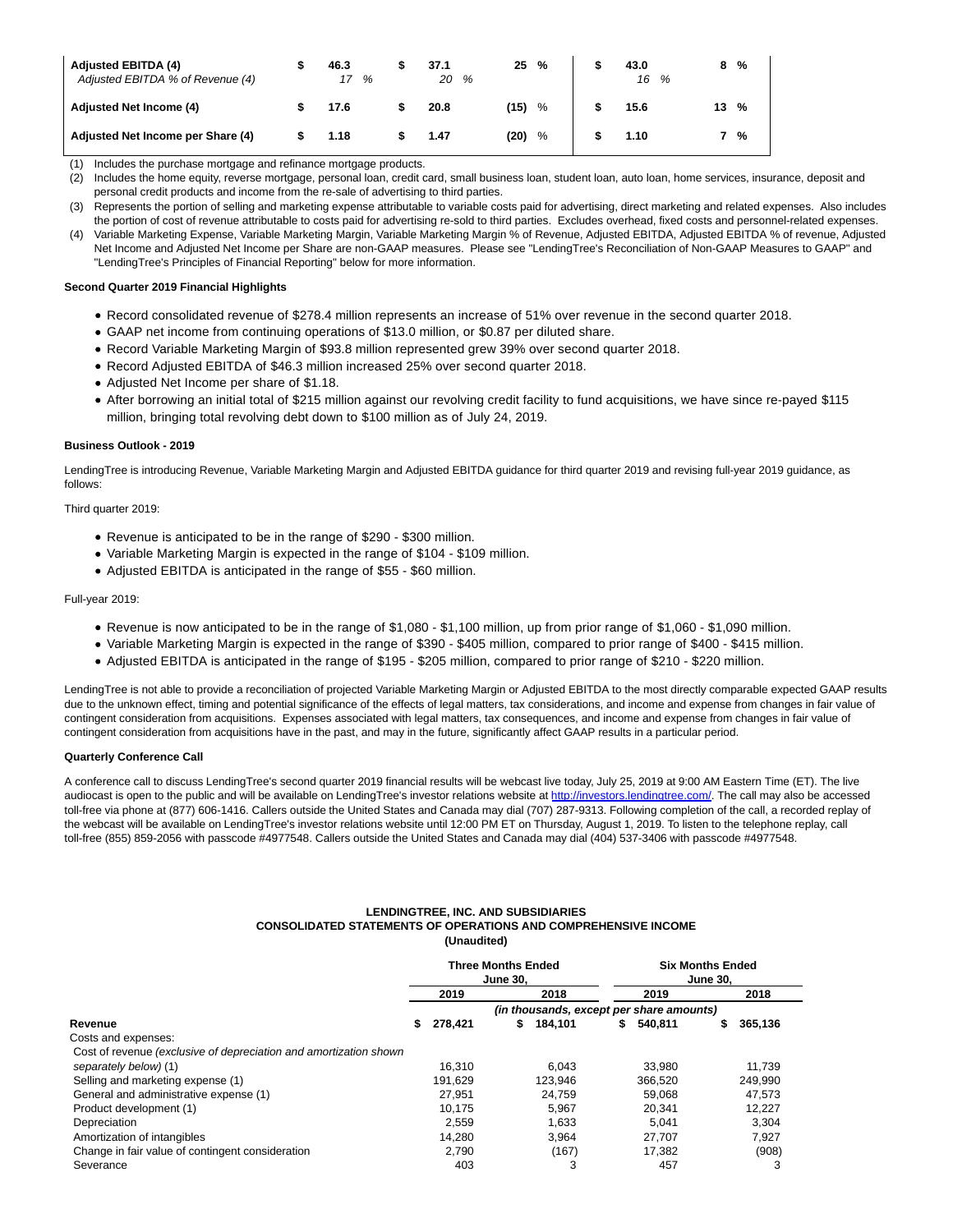| <b>Adjusted EBITDA (4)</b><br>Adjusted EBITDA % of Revenue (4) | 46.3<br>17<br>% | 37.1<br>20 % | 25   | % | 43.0<br>16 % | 8    | $\frac{0}{0}$ |
|----------------------------------------------------------------|-----------------|--------------|------|---|--------------|------|---------------|
| <b>Adjusted Net Income (4)</b>                                 | 17.6            | 20.8         | (15) | % | 15.6         | 13 % |               |
| Adjusted Net Income per Share (4)                              | 1.18            | 1.47         | (20) | % | 1.10         |      | $\frac{0}{0}$ |

(1) Includes the purchase mortgage and refinance mortgage products.

(2) Includes the home equity, reverse mortgage, personal loan, credit card, small business loan, student loan, auto loan, home services, insurance, deposit and personal credit products and income from the re-sale of advertising to third parties.

(3) Represents the portion of selling and marketing expense attributable to variable costs paid for advertising, direct marketing and related expenses. Also includes the portion of cost of revenue attributable to costs paid for advertising re-sold to third parties. Excludes overhead, fixed costs and personnel-related expenses. (4) Variable Marketing Expense, Variable Marketing Margin, Variable Marketing Margin % of Revenue, Adjusted EBITDA, Adjusted EBITDA % of revenue, Adjusted

Net Income and Adjusted Net Income per Share are non-GAAP measures. Please see "LendingTree's Reconciliation of Non-GAAP Measures to GAAP" and "LendingTree's Principles of Financial Reporting" below for more information.

# **Second Quarter 2019 Financial Highlights**

- Record consolidated revenue of \$278.4 million represents an increase of 51% over revenue in the second quarter 2018.
- GAAP net income from continuing operations of \$13.0 million, or \$0.87 per diluted share.
- Record Variable Marketing Margin of \$93.8 million represented grew 39% over second quarter 2018.
- Record Adjusted EBITDA of \$46.3 million increased 25% over second quarter 2018.
- Adjusted Net Income per share of \$1.18.
- After borrowing an initial total of \$215 million against our revolving credit facility to fund acquisitions, we have since re-payed \$115 million, bringing total revolving debt down to \$100 million as of July 24, 2019.

# **Business Outlook - 2019**

LendingTree is introducing Revenue, Variable Marketing Margin and Adjusted EBITDA guidance for third quarter 2019 and revising full-year 2019 guidance, as follows:

Third quarter 2019:

- Revenue is anticipated to be in the range of \$290 \$300 million.
- Variable Marketing Margin is expected in the range of \$104 \$109 million.
- Adjusted EBITDA is anticipated in the range of \$55 \$60 million.

## Full-year 2019:

- Revenue is now anticipated to be in the range of \$1,080 \$1,100 million, up from prior range of \$1,060 \$1,090 million.
- Variable Marketing Margin is expected in the range of \$390 \$405 million, compared to prior range of \$400 \$415 million.
- Adjusted EBITDA is anticipated in the range of \$195 \$205 million, compared to prior range of \$210 \$220 million.

LendingTree is not able to provide a reconciliation of projected Variable Marketing Margin or Adjusted EBITDA to the most directly comparable expected GAAP results due to the unknown effect, timing and potential significance of the effects of legal matters, tax considerations, and income and expense from changes in fair value of contingent consideration from acquisitions. Expenses associated with legal matters, tax consequences, and income and expense from changes in fair value of contingent consideration from acquisitions have in the past, and may in the future, significantly affect GAAP results in a particular period.

# **Quarterly Conference Call**

A conference call to discuss LendingTree's second quarter 2019 financial results will be webcast live today, July 25, 2019 at 9:00 AM Eastern Time (ET). The live audiocast is open to the public and will be available on LendingTree's investor relations website a[t http://investors.lendingtree.com/.](http://investors.lendingtree.com/) The call may also be accessed toll-free via phone at (877) 606-1416. Callers outside the United States and Canada may dial (707) 287-9313. Following completion of the call, a recorded replay of the webcast will be available on LendingTree's investor relations website until 12:00 PM ET on Thursday, August 1, 2019. To listen to the telephone replay, call toll-free (855) 859-2056 with passcode #4977548. Callers outside the United States and Canada may dial (404) 537-3406 with passcode #4977548.

## **LENDINGTREE, INC. AND SUBSIDIARIES CONSOLIDATED STATEMENTS OF OPERATIONS AND COMPREHENSIVE INCOME (Unaudited)**

|                                                                   |                                          |         | <b>Three Months Ended</b><br><b>June 30.</b> |         |    | <b>Six Months Ended</b><br><b>June 30.</b> |    |         |  |  |  |  |
|-------------------------------------------------------------------|------------------------------------------|---------|----------------------------------------------|---------|----|--------------------------------------------|----|---------|--|--|--|--|
|                                                                   |                                          | 2019    |                                              | 2018    |    | 2019                                       |    | 2018    |  |  |  |  |
|                                                                   | (in thousands, except per share amounts) |         |                                              |         |    |                                            |    |         |  |  |  |  |
| Revenue                                                           | \$                                       | 278,421 | S.                                           | 184.101 | s. | 540,811                                    | s. | 365,136 |  |  |  |  |
| Costs and expenses:                                               |                                          |         |                                              |         |    |                                            |    |         |  |  |  |  |
| Cost of revenue (exclusive of depreciation and amortization shown |                                          |         |                                              |         |    |                                            |    |         |  |  |  |  |
| separately below) (1)                                             |                                          | 16.310  |                                              | 6.043   |    | 33.980                                     |    | 11.739  |  |  |  |  |
| Selling and marketing expense (1)                                 |                                          | 191.629 |                                              | 123.946 |    | 366.520                                    |    | 249.990 |  |  |  |  |
| General and administrative expense (1)                            |                                          | 27.951  |                                              | 24.759  |    | 59.068                                     |    | 47.573  |  |  |  |  |
| Product development (1)                                           |                                          | 10.175  |                                              | 5.967   |    | 20.341                                     |    | 12.227  |  |  |  |  |
| Depreciation                                                      |                                          | 2.559   |                                              | 1.633   |    | 5.041                                      |    | 3.304   |  |  |  |  |
| Amortization of intangibles                                       |                                          | 14.280  |                                              | 3,964   |    | 27,707                                     |    | 7,927   |  |  |  |  |
| Change in fair value of contingent consideration                  |                                          | 2.790   |                                              | (167)   |    | 17,382                                     |    | (908)   |  |  |  |  |
| Severance                                                         |                                          | 403     |                                              | 3       |    | 457                                        |    | 3       |  |  |  |  |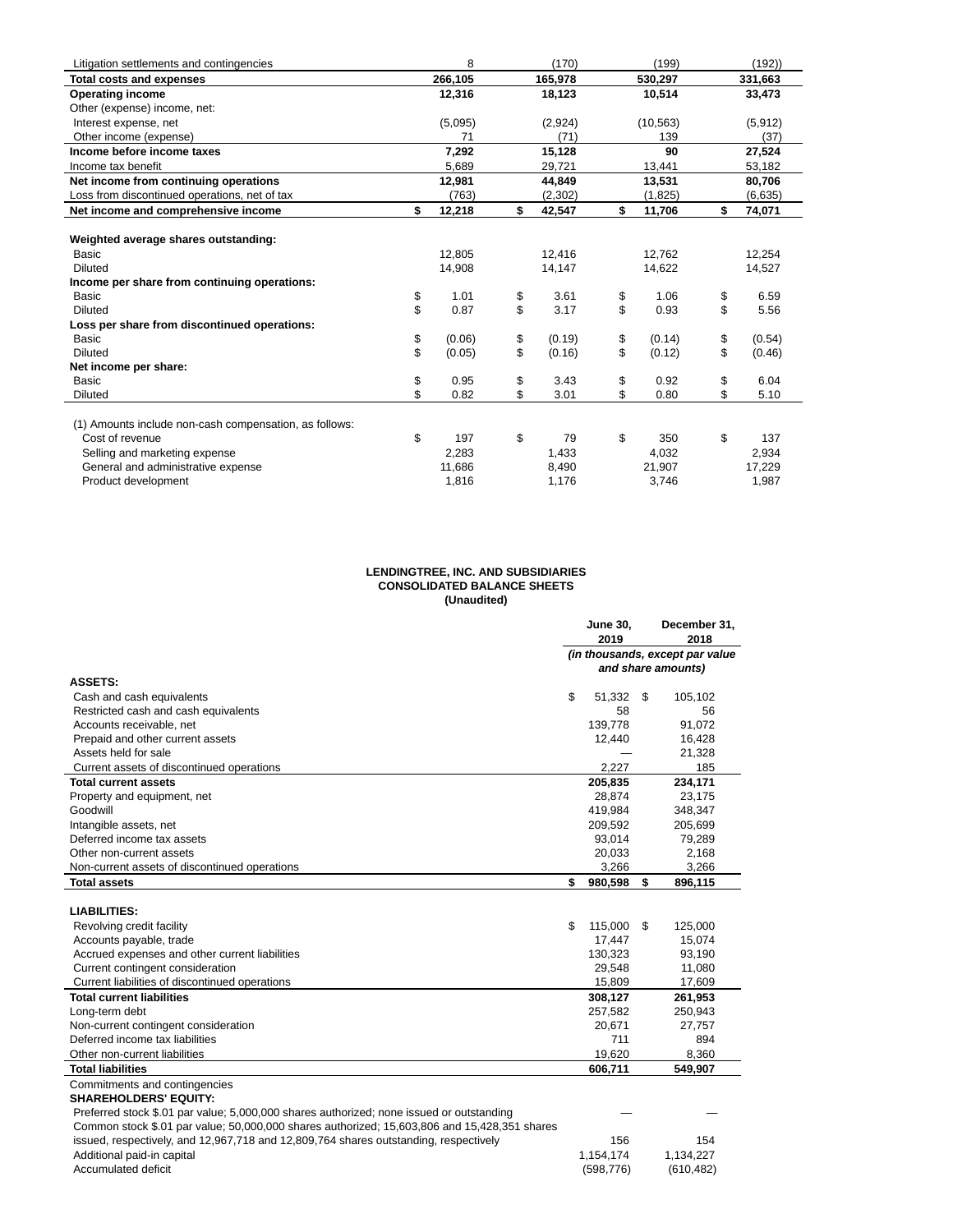| Litigation settlements and contingencies               | 8            | (170) |          | (199) |           | (192)        |
|--------------------------------------------------------|--------------|-------|----------|-------|-----------|--------------|
| <b>Total costs and expenses</b>                        | 266,105      |       | 165,978  |       | 530,297   | 331,663      |
| <b>Operating income</b>                                | 12,316       |       | 18,123   |       | 10,514    | 33,473       |
| Other (expense) income, net:                           |              |       |          |       |           |              |
| Interest expense, net                                  | (5,095)      |       | (2,924)  |       | (10, 563) | (5, 912)     |
| Other income (expense)                                 | 71           |       | (71)     |       | 139       | (37)         |
| Income before income taxes                             | 7.292        |       | 15,128   |       | 90        | 27,524       |
| Income tax benefit                                     | 5,689        |       | 29,721   |       | 13,441    | 53,182       |
| Net income from continuing operations                  | 12,981       |       | 44,849   |       | 13,531    | 80,706       |
| Loss from discontinued operations, net of tax          | (763)        |       | (2, 302) |       | (1,825)   | (6,635)      |
| Net income and comprehensive income                    | \$<br>12,218 | \$    | 42,547   | \$    | 11,706    | \$<br>74,071 |
|                                                        |              |       |          |       |           |              |
| Weighted average shares outstanding:                   |              |       |          |       |           |              |
| Basic                                                  | 12,805       |       | 12,416   |       | 12,762    | 12,254       |
| Diluted                                                | 14,908       |       | 14,147   |       | 14,622    | 14,527       |
| Income per share from continuing operations:           |              |       |          |       |           |              |
| <b>Basic</b>                                           | \$<br>1.01   | \$    | 3.61     | \$    | 1.06      | \$<br>6.59   |
| <b>Diluted</b>                                         | \$<br>0.87   | \$    | 3.17     | \$    | 0.93      | \$<br>5.56   |
| Loss per share from discontinued operations:           |              |       |          |       |           |              |
| Basic                                                  | \$<br>(0.06) | \$    | (0.19)   | \$    | (0.14)    | \$<br>(0.54) |
| <b>Diluted</b>                                         | \$<br>(0.05) | \$    | (0.16)   | \$    | (0.12)    | \$<br>(0.46) |
| Net income per share:                                  |              |       |          |       |           |              |
| <b>Basic</b>                                           | \$<br>0.95   | \$    | 3.43     | \$    | 0.92      | \$<br>6.04   |
| <b>Diluted</b>                                         | \$<br>0.82   | \$    | 3.01     | \$    | 0.80      | \$<br>5.10   |
|                                                        |              |       |          |       |           |              |
| (1) Amounts include non-cash compensation, as follows: |              |       |          |       |           |              |
| Cost of revenue                                        | \$<br>197    | \$    | 79       | \$    | 350       | \$<br>137    |
| Selling and marketing expense                          | 2,283        |       | 1,433    |       | 4,032     | 2,934        |
| General and administrative expense                     | 11,686       |       | 8,490    |       | 21,907    | 17,229       |
| Product development                                    | 1,816        |       | 1,176    |       | 3,746     | 1,987        |

#### **LENDINGTREE, INC. AND SUBSIDIARIES CONSOLIDATED BALANCE SHEETS (Unaudited)**

|                                                                                              | <b>June 30,</b><br>2019 |      | December 31,<br>2018                                  |
|----------------------------------------------------------------------------------------------|-------------------------|------|-------------------------------------------------------|
|                                                                                              |                         |      | (in thousands, except par value<br>and share amounts) |
| <b>ASSETS:</b>                                                                               |                         |      |                                                       |
| Cash and cash equivalents                                                                    | \$<br>51,332 \$         |      | 105,102                                               |
| Restricted cash and cash equivalents                                                         | 58                      |      | 56                                                    |
| Accounts receivable, net                                                                     | 139,778                 |      | 91,072                                                |
| Prepaid and other current assets                                                             | 12,440                  |      | 16,428                                                |
| Assets held for sale                                                                         |                         |      | 21,328                                                |
| Current assets of discontinued operations                                                    | 2.227                   |      | 185                                                   |
| <b>Total current assets</b>                                                                  | 205,835                 |      | 234,171                                               |
| Property and equipment, net                                                                  | 28,874                  |      | 23,175                                                |
| Goodwill                                                                                     | 419.984                 |      | 348,347                                               |
| Intangible assets, net                                                                       | 209,592                 |      | 205,699                                               |
| Deferred income tax assets                                                                   | 93,014                  |      | 79,289                                                |
| Other non-current assets                                                                     | 20,033                  |      | 2,168                                                 |
| Non-current assets of discontinued operations                                                | 3,266                   |      | 3,266                                                 |
| <b>Total assets</b>                                                                          | \$<br>980,598           | \$   | 896,115                                               |
|                                                                                              |                         |      |                                                       |
| <b>LIABILITIES:</b>                                                                          |                         |      |                                                       |
| Revolving credit facility                                                                    | \$<br>115,000           | - \$ | 125,000                                               |
| Accounts payable, trade                                                                      | 17,447                  |      | 15,074                                                |
| Accrued expenses and other current liabilities                                               | 130,323                 |      | 93,190                                                |
| Current contingent consideration                                                             | 29,548                  |      | 11,080                                                |
| Current liabilities of discontinued operations                                               | 15,809                  |      | 17,609                                                |
| <b>Total current liabilities</b>                                                             | 308,127                 |      | 261,953                                               |
| Long-term debt                                                                               | 257,582                 |      | 250,943                                               |
| Non-current contingent consideration                                                         | 20,671                  |      | 27,757                                                |
| Deferred income tax liabilities                                                              | 711                     |      | 894                                                   |
| Other non-current liabilities                                                                | 19,620                  |      | 8,360                                                 |
| <b>Total liabilities</b>                                                                     | 606,711                 |      | 549,907                                               |
| Commitments and contingencies                                                                |                         |      |                                                       |
| <b>SHAREHOLDERS' EQUITY:</b>                                                                 |                         |      |                                                       |
| Preferred stock \$.01 par value; 5,000,000 shares authorized; none issued or outstanding     |                         |      |                                                       |
| Common stock \$.01 par value; 50,000,000 shares authorized; 15,603,806 and 15,428,351 shares |                         |      |                                                       |
| issued, respectively, and 12,967,718 and 12,809,764 shares outstanding, respectively         | 156                     |      | 154                                                   |
| Additional paid-in capital                                                                   | 1,154,174               |      | 1,134,227                                             |
| Accumulated deficit                                                                          | (598, 776)              |      | (610, 482)                                            |
|                                                                                              |                         |      |                                                       |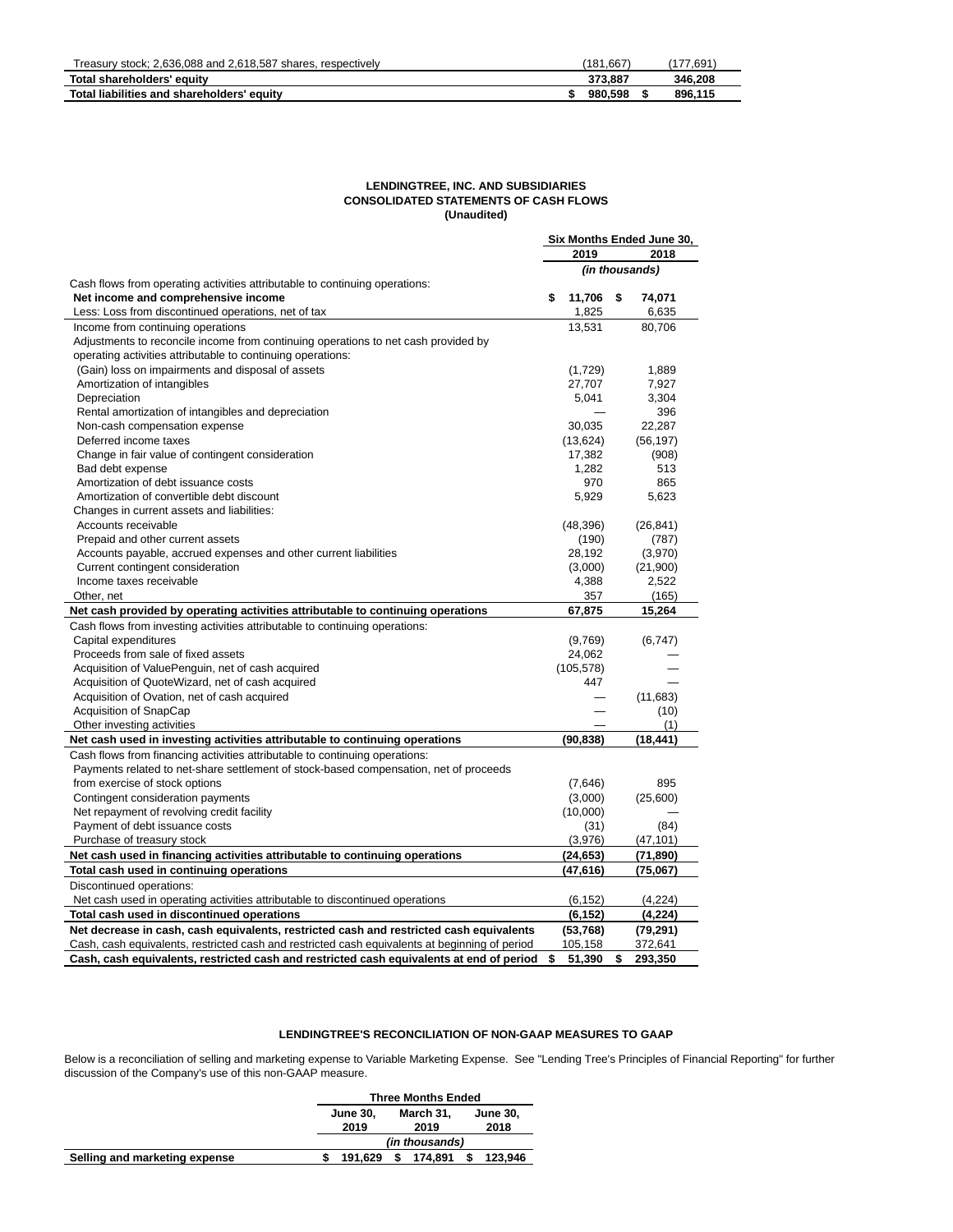| Treasury stock: 2.636.088 and 2.618.587 shares, respectively | (181.667) | .691    |
|--------------------------------------------------------------|-----------|---------|
| Total shareholders' equity                                   | 373.887   | 346.208 |
| Total liabilities and shareholders' equity                   | 980.598   | 896.115 |

# **LENDINGTREE, INC. AND SUBSIDIARIES CONSOLIDATED STATEMENTS OF CASH FLOWS (Unaudited)**

|                                                                                                |              | Six Months Ended June 30, |                |  |  |  |
|------------------------------------------------------------------------------------------------|--------------|---------------------------|----------------|--|--|--|
|                                                                                                | 2019         |                           | 2018           |  |  |  |
|                                                                                                |              |                           | (in thousands) |  |  |  |
| Cash flows from operating activities attributable to continuing operations:                    |              |                           |                |  |  |  |
| Net income and comprehensive income                                                            | \$<br>11,706 | - \$                      | 74,071         |  |  |  |
| Less: Loss from discontinued operations, net of tax                                            | 1,825        |                           | 6,635          |  |  |  |
| Income from continuing operations                                                              | 13,531       |                           | 80,706         |  |  |  |
| Adjustments to reconcile income from continuing operations to net cash provided by             |              |                           |                |  |  |  |
| operating activities attributable to continuing operations:                                    |              |                           |                |  |  |  |
| (Gain) loss on impairments and disposal of assets                                              | (1,729)      |                           | 1,889          |  |  |  |
| Amortization of intangibles                                                                    | 27,707       |                           | 7,927          |  |  |  |
| Depreciation                                                                                   | 5,041        |                           | 3,304          |  |  |  |
| Rental amortization of intangibles and depreciation                                            |              |                           | 396            |  |  |  |
| Non-cash compensation expense                                                                  | 30,035       |                           | 22,287         |  |  |  |
| Deferred income taxes                                                                          | (13, 624)    |                           | (56, 197)      |  |  |  |
| Change in fair value of contingent consideration                                               | 17,382       |                           | (908)          |  |  |  |
| Bad debt expense                                                                               | 1,282        |                           | 513            |  |  |  |
| Amortization of debt issuance costs                                                            | 970          |                           | 865            |  |  |  |
| Amortization of convertible debt discount                                                      | 5,929        |                           | 5,623          |  |  |  |
| Changes in current assets and liabilities:                                                     |              |                           |                |  |  |  |
| Accounts receivable                                                                            | (48, 396)    |                           | (26, 841)      |  |  |  |
| Prepaid and other current assets                                                               | (190)        |                           | (787)          |  |  |  |
| Accounts payable, accrued expenses and other current liabilities                               | 28,192       |                           | (3,970)        |  |  |  |
| Current contingent consideration                                                               | (3,000)      |                           | (21,900)       |  |  |  |
| Income taxes receivable                                                                        | 4,388        |                           | 2,522          |  |  |  |
| Other, net                                                                                     | 357          |                           | (165)          |  |  |  |
| Net cash provided by operating activities attributable to continuing operations                | 67,875       |                           | 15,264         |  |  |  |
| Cash flows from investing activities attributable to continuing operations:                    |              |                           |                |  |  |  |
| Capital expenditures                                                                           | (9,769)      |                           | (6, 747)       |  |  |  |
| Proceeds from sale of fixed assets                                                             | 24,062       |                           |                |  |  |  |
| Acquisition of ValuePenguin, net of cash acquired                                              | (105, 578)   |                           |                |  |  |  |
| Acquisition of QuoteWizard, net of cash acquired                                               | 447          |                           |                |  |  |  |
| Acquisition of Ovation, net of cash acquired                                                   |              |                           | (11,683)       |  |  |  |
| Acquisition of SnapCap                                                                         |              |                           | (10)           |  |  |  |
| Other investing activities                                                                     |              |                           | (1)            |  |  |  |
| Net cash used in investing activities attributable to continuing operations                    | (90, 838)    |                           | (18, 441)      |  |  |  |
| Cash flows from financing activities attributable to continuing operations:                    |              |                           |                |  |  |  |
| Payments related to net-share settlement of stock-based compensation, net of proceeds          |              |                           |                |  |  |  |
| from exercise of stock options                                                                 | (7,646)      |                           | 895            |  |  |  |
| Contingent consideration payments                                                              | (3,000)      |                           | (25,600)       |  |  |  |
| Net repayment of revolving credit facility                                                     | (10,000)     |                           |                |  |  |  |
| Payment of debt issuance costs                                                                 | (31)         |                           | (84)           |  |  |  |
| Purchase of treasury stock                                                                     | (3,976)      |                           | (47, 101)      |  |  |  |
| Net cash used in financing activities attributable to continuing operations                    | (24, 653)    |                           | (71, 890)      |  |  |  |
| Total cash used in continuing operations                                                       | (47, 616)    |                           | (75,067)       |  |  |  |
| Discontinued operations:                                                                       |              |                           |                |  |  |  |
|                                                                                                |              |                           |                |  |  |  |
| Net cash used in operating activities attributable to discontinued operations                  | (6, 152)     |                           | (4,224)        |  |  |  |
| Total cash used in discontinued operations                                                     | (6, 152)     |                           | (4, 224)       |  |  |  |
| Net decrease in cash, cash equivalents, restricted cash and restricted cash equivalents        | (53, 768)    |                           | (79, 291)      |  |  |  |
| Cash, cash equivalents, restricted cash and restricted cash equivalents at beginning of period | 105,158      |                           | 372,641        |  |  |  |
| Cash, cash equivalents, restricted cash and restricted cash equivalents at end of period       | \$<br>51,390 | \$                        | 293,350        |  |  |  |

# **LENDINGTREE'S RECONCILIATION OF NON-GAAP MEASURES TO GAAP**

Below is a reconciliation of selling and marketing expense to Variable Marketing Expense. See "Lending Tree's Principles of Financial Reporting" for further discussion of the Company's use of this non-GAAP measure.

|                 | <b>Three Months Ended</b> |                 |  |  |  |  |  |  |  |  |
|-----------------|---------------------------|-----------------|--|--|--|--|--|--|--|--|
| <b>June 30.</b> | March 31.                 | <b>June 30.</b> |  |  |  |  |  |  |  |  |
| 2019            | 2019                      | 2018            |  |  |  |  |  |  |  |  |
|                 | (in thousands)            |                 |  |  |  |  |  |  |  |  |
| 191.629         | 174.891                   | 123.946         |  |  |  |  |  |  |  |  |
|                 |                           |                 |  |  |  |  |  |  |  |  |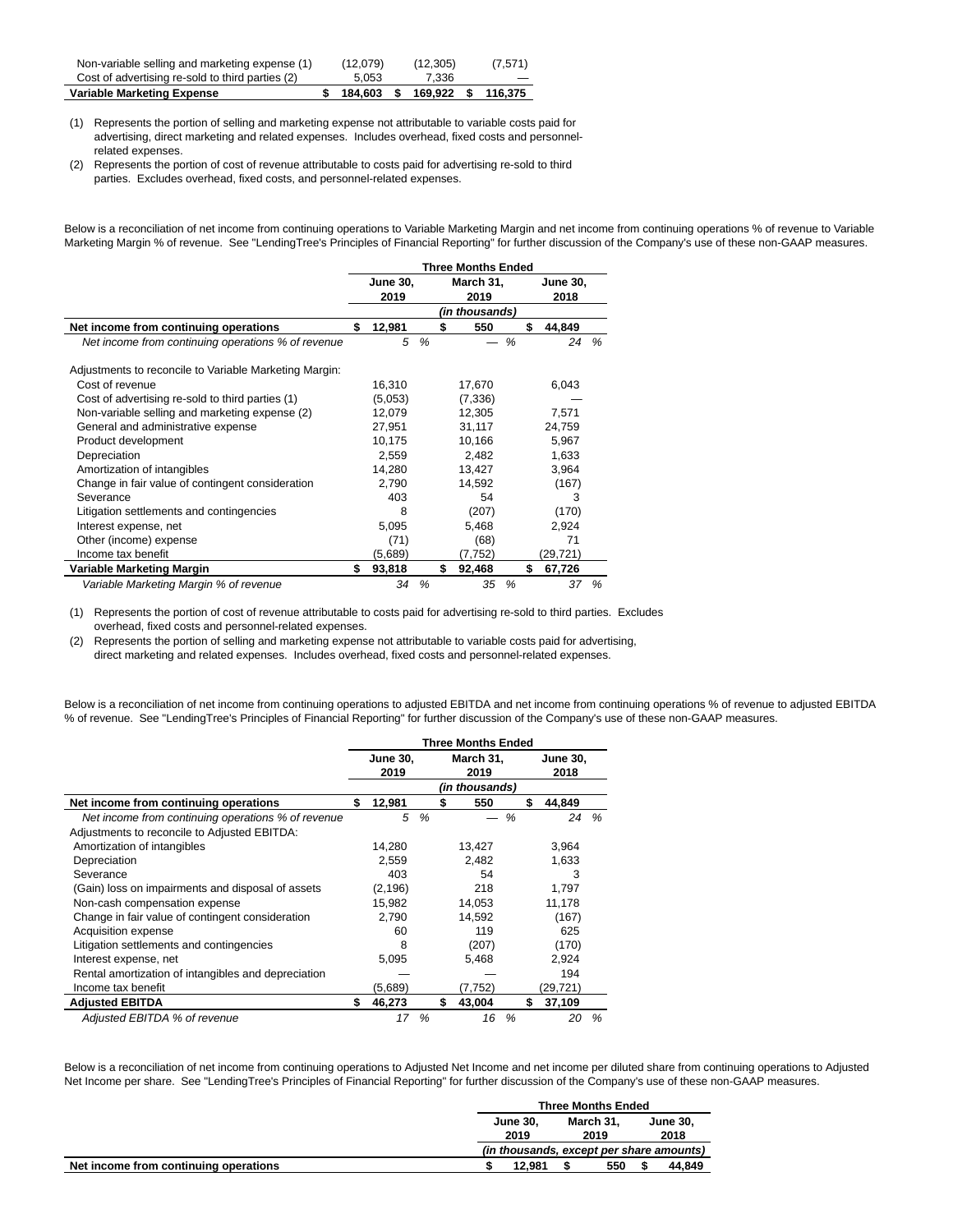| Non-variable selling and marketing expense (1)   | (12,079)  | (12, 305) | (7,571) |
|--------------------------------------------------|-----------|-----------|---------|
| Cost of advertising re-sold to third parties (2) | 5.053     | 7.336     |         |
| Variable Marketing Expense                       | 184.603 S | 169.922   | 116.375 |

(1) Represents the portion of selling and marketing expense not attributable to variable costs paid for advertising, direct marketing and related expenses. Includes overhead, fixed costs and personnelrelated expenses.

(2) Represents the portion of cost of revenue attributable to costs paid for advertising re-sold to third parties. Excludes overhead, fixed costs, and personnel-related expenses.

Below is a reconciliation of net income from continuing operations to Variable Marketing Margin and net income from continuing operations % of revenue to Variable Marketing Margin % of revenue. See "LendingTree's Principles of Financial Reporting" for further discussion of the Company's use of these non-GAAP measures.

|                                                        |                         |               |                   | <b>Three Months Ended</b> |               |    |                         |      |
|--------------------------------------------------------|-------------------------|---------------|-------------------|---------------------------|---------------|----|-------------------------|------|
|                                                        | <b>June 30,</b><br>2019 |               | March 31,<br>2019 |                           |               |    | <b>June 30,</b><br>2018 |      |
|                                                        |                         |               |                   | (in thousands)            |               |    |                         |      |
| Net income from continuing operations                  | \$<br>12,981            |               | \$                | 550                       |               | \$ | 44,849                  |      |
| Net income from continuing operations % of revenue     | 5                       | $\frac{9}{6}$ |                   |                           | $\frac{9}{6}$ |    | 24                      | $\%$ |
| Adjustments to reconcile to Variable Marketing Margin: |                         |               |                   |                           |               |    |                         |      |
| Cost of revenue                                        | 16,310                  |               |                   | 17,670                    |               |    | 6,043                   |      |
| Cost of advertising re-sold to third parties (1)       | (5,053)                 |               |                   | (7, 336)                  |               |    |                         |      |
| Non-variable selling and marketing expense (2)         | 12,079                  |               |                   | 12.305                    |               |    | 7,571                   |      |
| General and administrative expense                     | 27,951                  |               |                   | 31,117                    |               |    | 24,759                  |      |
| Product development                                    | 10,175                  |               |                   | 10,166                    |               |    | 5,967                   |      |
| Depreciation                                           | 2,559                   |               |                   | 2,482                     |               |    | 1,633                   |      |
| Amortization of intangibles                            | 14,280                  |               |                   | 13,427                    |               |    | 3,964                   |      |
| Change in fair value of contingent consideration       | 2,790                   |               |                   | 14,592                    |               |    | (167)                   |      |
| Severance                                              | 403                     |               |                   | 54                        |               |    | 3                       |      |
| Litigation settlements and contingencies               | 8                       |               |                   | (207)                     |               |    | (170)                   |      |
| Interest expense, net                                  | 5,095                   |               |                   | 5,468                     |               |    | 2,924                   |      |
| Other (income) expense                                 | (71)                    |               |                   | (68)                      |               |    | 71                      |      |
| Income tax benefit                                     | (5,689)                 |               |                   | (7,752)                   |               |    | (29, 721)               |      |
| Variable Marketing Margin                              | \$<br>93,818            |               | \$                | 92,468                    |               | \$ | 67,726                  |      |
| Variable Marketing Margin % of revenue                 | 34                      | %             |                   | 35                        | %             |    | 37                      | %    |

(1) Represents the portion of cost of revenue attributable to costs paid for advertising re-sold to third parties. Excludes overhead, fixed costs and personnel-related expenses.

(2) Represents the portion of selling and marketing expense not attributable to variable costs paid for advertising, direct marketing and related expenses. Includes overhead, fixed costs and personnel-related expenses.

Below is a reconciliation of net income from continuing operations to adjusted EBITDA and net income from continuing operations % of revenue to adjusted EBITDA % of revenue. See "LendingTree's Principles of Financial Reporting" for further discussion of the Company's use of these non-GAAP measures.

|                                                     |                 |               | <b>Three Months Ended</b> |   |                 |   |
|-----------------------------------------------------|-----------------|---------------|---------------------------|---|-----------------|---|
|                                                     | <b>June 30,</b> |               | March 31,                 |   | <b>June 30,</b> |   |
|                                                     | 2019            |               | 2019<br>(in thousands)    |   | 2018            |   |
| Net income from continuing operations               | \$<br>12,981    |               | \$<br>550                 |   | \$<br>44,849    |   |
| Net income from continuing operations % of revenue  | 5               | $\frac{9}{6}$ |                           | % | 24              | % |
| Adjustments to reconcile to Adjusted EBITDA:        |                 |               |                           |   |                 |   |
| Amortization of intangibles                         | 14,280          |               | 13,427                    |   | 3,964           |   |
| Depreciation                                        | 2.559           |               | 2.482                     |   | 1.633           |   |
| Severance                                           | 403             |               | 54                        |   | 3               |   |
| (Gain) loss on impairments and disposal of assets   | (2, 196)        |               | 218                       |   | 1,797           |   |
| Non-cash compensation expense                       | 15,982          |               | 14,053                    |   | 11,178          |   |
| Change in fair value of contingent consideration    | 2.790           |               | 14.592                    |   | (167)           |   |
| Acquisition expense                                 | 60              |               | 119                       |   | 625             |   |
| Litigation settlements and contingencies            | 8               |               | (207)                     |   | (170)           |   |
| Interest expense, net                               | 5,095           |               | 5,468                     |   | 2,924           |   |
| Rental amortization of intangibles and depreciation |                 |               |                           |   | 194             |   |
| Income tax benefit                                  | (5,689)         |               | (7,752)                   |   | (29, 721)       |   |
| <b>Adjusted EBITDA</b>                              | \$<br>46,273    |               | \$<br>43,004              |   | \$<br>37,109    |   |
| Adjusted EBITDA % of revenue                        | 17              | $\frac{9}{6}$ | 16                        | % | 20              | % |

Below is a reconciliation of net income from continuing operations to Adjusted Net Income and net income per diluted share from continuing operations to Adjusted Net Income per share. See "LendingTree's Principles of Financial Reporting" for further discussion of the Company's use of these non-GAAP measures.

|                                       |                 | <b>Three Months Ended</b> |           |  |                                          |
|---------------------------------------|-----------------|---------------------------|-----------|--|------------------------------------------|
|                                       | <b>June 30.</b> |                           | March 31. |  | <b>June 30.</b>                          |
|                                       | 2019            |                           | 2019      |  | 2018                                     |
|                                       |                 |                           |           |  | (in thousands, except per share amounts) |
| Net income from continuing operations | 12.981          |                           | 550       |  | 44.849                                   |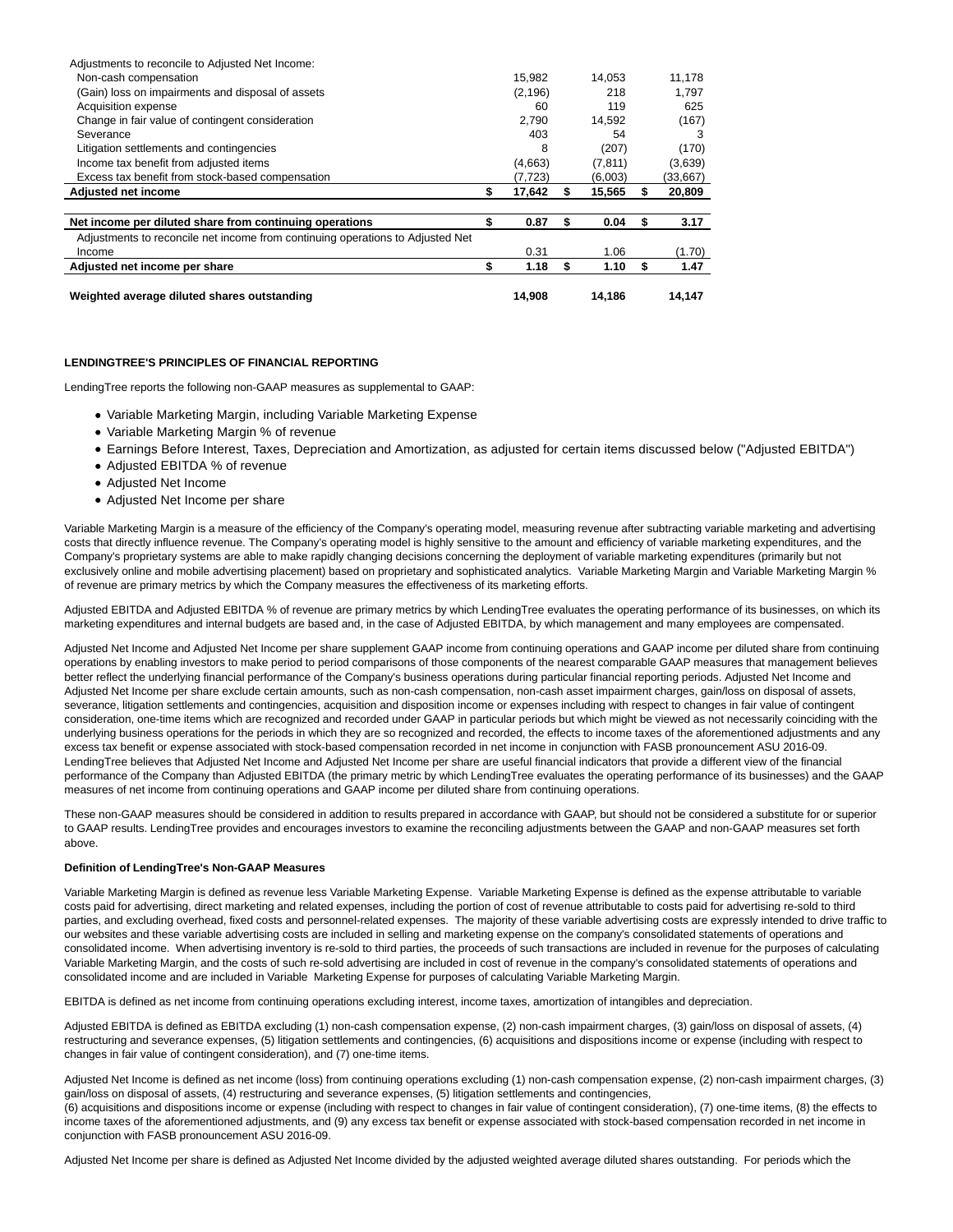| Adjustments to reconcile to Adjusted Net Income:                               |          |    |          |   |          |
|--------------------------------------------------------------------------------|----------|----|----------|---|----------|
| Non-cash compensation                                                          | 15,982   |    | 14.053   |   | 11,178   |
| (Gain) loss on impairments and disposal of assets                              | (2, 196) |    | 218      |   | 1.797    |
| Acquisition expense                                                            | 60       |    | 119      |   | 625      |
| Change in fair value of contingent consideration                               | 2.790    |    | 14,592   |   | (167)    |
| Severance                                                                      | 403      |    | 54       |   | 3        |
| Litigation settlements and contingencies                                       | 8        |    | (207)    |   | (170)    |
| Income tax benefit from adjusted items                                         | (4,663)  |    | (7, 811) |   | (3,639)  |
| Excess tax benefit from stock-based compensation                               | (7,723)  |    | (6,003)  |   | (33,667) |
| <b>Adjusted net income</b>                                                     | 17,642   | S  | 15,565   |   | 20,809   |
|                                                                                |          |    |          |   |          |
| Net income per diluted share from continuing operations                        | 0.87     | S  | 0.04     |   | 3.17     |
| Adjustments to reconcile net income from continuing operations to Adjusted Net |          |    |          |   |          |
| Income                                                                         | 0.31     |    | 1.06     |   | (1.70)   |
| Adjusted net income per share                                                  | 1.18     | \$ | 1.10     | S | 1.47     |
| Weighted average diluted shares outstanding                                    | 14.908   |    | 14.186   |   | 14,147   |

# **LENDINGTREE'S PRINCIPLES OF FINANCIAL REPORTING**

LendingTree reports the following non-GAAP measures as supplemental to GAAP:

- Variable Marketing Margin, including Variable Marketing Expense
- Variable Marketing Margin % of revenue
- Earnings Before Interest, Taxes, Depreciation and Amortization, as adjusted for certain items discussed below ("Adjusted EBITDA")
- Adjusted EBITDA % of revenue
- Adjusted Net Income
- Adjusted Net Income per share

Variable Marketing Margin is a measure of the efficiency of the Company's operating model, measuring revenue after subtracting variable marketing and advertising costs that directly influence revenue. The Company's operating model is highly sensitive to the amount and efficiency of variable marketing expenditures, and the Company's proprietary systems are able to make rapidly changing decisions concerning the deployment of variable marketing expenditures (primarily but not exclusively online and mobile advertising placement) based on proprietary and sophisticated analytics. Variable Marketing Margin and Variable Marketing Margin % of revenue are primary metrics by which the Company measures the effectiveness of its marketing efforts.

Adjusted EBITDA and Adjusted EBITDA % of revenue are primary metrics by which LendingTree evaluates the operating performance of its businesses, on which its marketing expenditures and internal budgets are based and, in the case of Adjusted EBITDA, by which management and many employees are compensated.

Adjusted Net Income and Adjusted Net Income per share supplement GAAP income from continuing operations and GAAP income per diluted share from continuing operations by enabling investors to make period to period comparisons of those components of the nearest comparable GAAP measures that management believes better reflect the underlying financial performance of the Company's business operations during particular financial reporting periods. Adjusted Net Income and Adjusted Net Income per share exclude certain amounts, such as non-cash compensation, non-cash asset impairment charges, gain/loss on disposal of assets, severance, litigation settlements and contingencies, acquisition and disposition income or expenses including with respect to changes in fair value of contingent consideration, one-time items which are recognized and recorded under GAAP in particular periods but which might be viewed as not necessarily coinciding with the underlying business operations for the periods in which they are so recognized and recorded, the effects to income taxes of the aforementioned adjustments and any excess tax benefit or expense associated with stock-based compensation recorded in net income in conjunction with FASB pronouncement ASU 2016-09. LendingTree believes that Adjusted Net Income and Adjusted Net Income per share are useful financial indicators that provide a different view of the financial performance of the Company than Adjusted EBITDA (the primary metric by which LendingTree evaluates the operating performance of its businesses) and the GAAP measures of net income from continuing operations and GAAP income per diluted share from continuing operations.

These non-GAAP measures should be considered in addition to results prepared in accordance with GAAP, but should not be considered a substitute for or superior to GAAP results. LendingTree provides and encourages investors to examine the reconciling adjustments between the GAAP and non-GAAP measures set forth above.

#### **Definition of LendingTree's Non-GAAP Measures**

Variable Marketing Margin is defined as revenue less Variable Marketing Expense. Variable Marketing Expense is defined as the expense attributable to variable costs paid for advertising, direct marketing and related expenses, including the portion of cost of revenue attributable to costs paid for advertising re-sold to third parties, and excluding overhead, fixed costs and personnel-related expenses. The majority of these variable advertising costs are expressly intended to drive traffic to our websites and these variable advertising costs are included in selling and marketing expense on the company's consolidated statements of operations and consolidated income. When advertising inventory is re-sold to third parties, the proceeds of such transactions are included in revenue for the purposes of calculating Variable Marketing Margin, and the costs of such re-sold advertising are included in cost of revenue in the company's consolidated statements of operations and consolidated income and are included in Variable Marketing Expense for purposes of calculating Variable Marketing Margin.

EBITDA is defined as net income from continuing operations excluding interest, income taxes, amortization of intangibles and depreciation.

Adjusted EBITDA is defined as EBITDA excluding (1) non-cash compensation expense, (2) non-cash impairment charges, (3) gain/loss on disposal of assets, (4) restructuring and severance expenses, (5) litigation settlements and contingencies, (6) acquisitions and dispositions income or expense (including with respect to changes in fair value of contingent consideration), and (7) one-time items.

Adjusted Net Income is defined as net income (loss) from continuing operations excluding (1) non-cash compensation expense, (2) non-cash impairment charges, (3) gain/loss on disposal of assets, (4) restructuring and severance expenses, (5) litigation settlements and contingencies,

(6) acquisitions and dispositions income or expense (including with respect to changes in fair value of contingent consideration), (7) one-time items, (8) the effects to income taxes of the aforementioned adjustments, and (9) any excess tax benefit or expense associated with stock-based compensation recorded in net income in conjunction with FASB pronouncement ASU 2016-09.

Adjusted Net Income per share is defined as Adjusted Net Income divided by the adjusted weighted average diluted shares outstanding. For periods which the